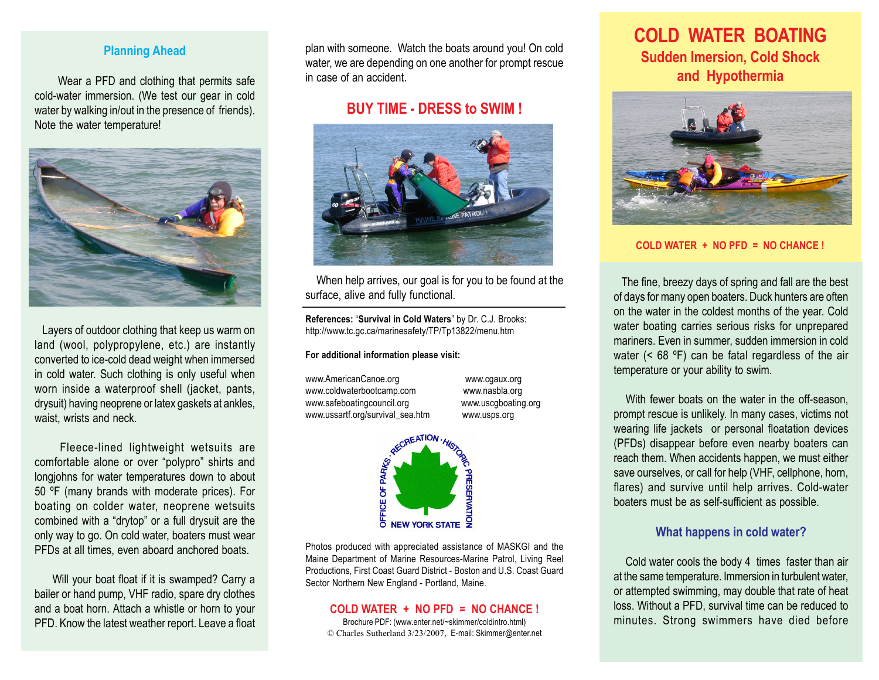#### **Planning Ahead**

 Wear a PFD and clothing that permits safe cold-water immersion. (We test our gear in cold water by walking in/out in the presence of friends). Note the water temperature!



 Layers of outdoor clothing that keep us warm on land (wool, polypropylene, etc.) are instantly converted to ice-cold dead weight when immersed in cold water. Such clothing is only useful when worn inside a waterproof shell (jacket, pants, drysuit) having neoprene or latex gaskets at ankles, waist, wrists and neck.

 Fleece-lined lightweight wetsuits are comfortable alone or over "polypro" shirts and longjohns for water temperatures down to about 50 ºF (many brands with moderate prices). For boating on colder water, neoprene wetsuits combined with a "drytop" or a full drysuit are the only way to go. On cold water, boaters must wear PFDs at all times, even aboard anchored boats.

 Will your boat float if it is swamped? Carry a bailer or hand pump, VHF radio, spare dry clothes and a boat horn. Attach a whistle or horn to your PFD. Know the latest weather report. Leave a float plan with someone. Watch the boats around you! On cold water, we are depending on one another for prompt rescue in case of an accident.

#### **BUY TIME - DRESS to SWIM !**



When help arrives, our goal is for you to be found at the surface, alive and fully functional.

**References:** "**Survival in Cold Waters**" by Dr. C.J. Brooks: http://www.tc.gc.ca/marinesafety/TP/Tp13822/menu.htm

#### **For additional information please visit:**

www.AmericanCanoe.org www.cgaux.org www.coldwaterbootcamp.com www.nasbla.org www.safeboatingcouncil.org www.uscgboating.org



Photos produced with appreciated assistance of MASKGI and the Maine Department of Marine Resources-Marine Patrol, Living Reel Productions, First Coast Guard District - Boston and U.S. Coast Guard Sector Northern New England - Portland, Maine.

#### **COLD WATER + NO PFD = NO CHANCE !**

Brochure PDF: (www.enter.net/~skimmer/coldintro.html) © Charles Sutherland 3/23/2007, E-mail: Skimmer@enter.net

# **COLD WATER BOATING Sudden Imersion, Cold Shock and Hypothermia**



**COLD WATER + NO PFD = NO CHANCE !**

 The fine, breezy days of spring and fall are the best of days for many open boaters. Duck hunters are often on the water in the coldest months of the year. Cold water boating carries serious risks for unprepared mariners. Even in summer, sudden immersion in cold water (< 68 ºF) can be fatal regardless of the air temperature or your ability to swim.

With fewer boats on the water in the off-season. prompt rescue is unlikely. In many cases, victims not wearing life jackets or personal floatation devices (PFDs) disappear before even nearby boaters can reach them. When accidents happen, we must either save ourselves, or call for help (VHF, cellphone, horn, flares) and survive until help arrives. Cold-water boaters must be as self-sufficient as possible.

#### **What happens in cold water?**

 Cold water cools the body 4 times faster than air at the same temperature. Immersion in turbulent water, or attempted swimming, may double that rate of heat loss. Without a PFD, survival time can be reduced to minutes. Strong swimmers have died before